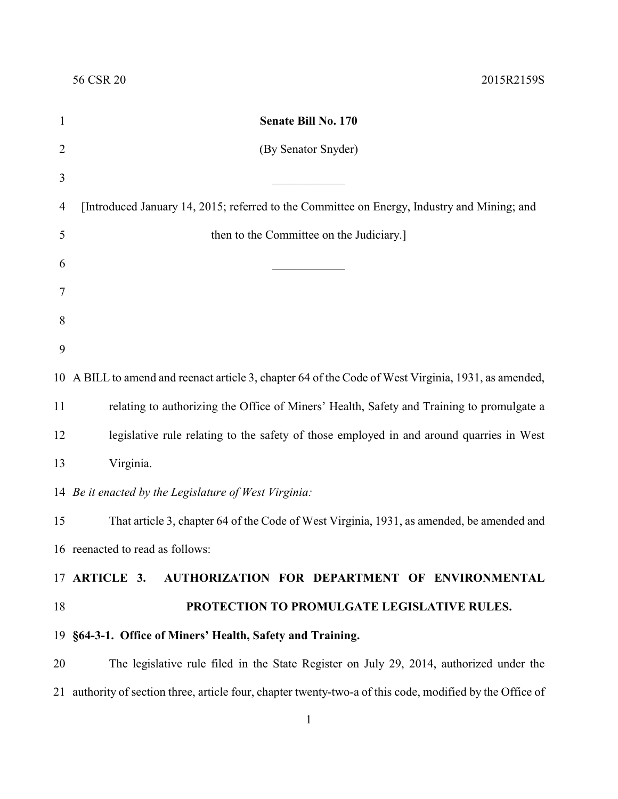| 1              | Senate Bill No. 170                                                                                       |
|----------------|-----------------------------------------------------------------------------------------------------------|
| $\overline{2}$ | (By Senator Snyder)                                                                                       |
| 3              |                                                                                                           |
| 4              | [Introduced January 14, 2015; referred to the Committee on Energy, Industry and Mining; and               |
| 5              | then to the Committee on the Judiciary.]                                                                  |
| 6              |                                                                                                           |
| 7              |                                                                                                           |
| 8              |                                                                                                           |
| 9              |                                                                                                           |
|                | 10 A BILL to amend and reenact article 3, chapter 64 of the Code of West Virginia, 1931, as amended,      |
| 11             | relating to authorizing the Office of Miners' Health, Safety and Training to promulgate a                 |
| 12             | legislative rule relating to the safety of those employed in and around quarries in West                  |
| 13             | Virginia.                                                                                                 |
|                | 14 Be it enacted by the Legislature of West Virginia:                                                     |
| 15             | That article 3, chapter 64 of the Code of West Virginia, 1931, as amended, be amended and                 |
|                | 16 reenacted to read as follows:                                                                          |
|                | 17 ARTICLE 3. AUTHORIZATION FOR DEPARTMENT OF ENVIRONMENTAL                                               |
| 18             | PROTECTION TO PROMULGATE LEGISLATIVE RULES.                                                               |
|                | 19 §64-3-1. Office of Miners' Health, Safety and Training.                                                |
| 20             | The legislative rule filed in the State Register on July 29, 2014, authorized under the                   |
|                | 21 authority of section three, article four, chapter twenty-two-a of this code, modified by the Office of |
|                | $\mathbf{1}$                                                                                              |